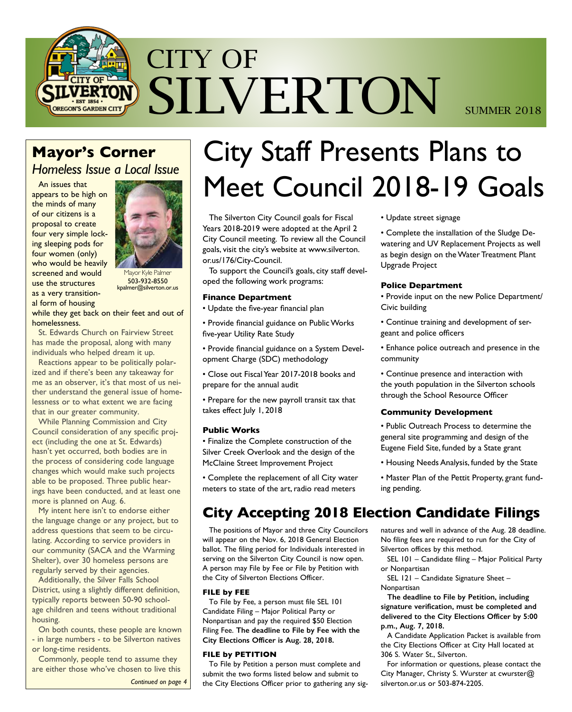

### **Mayor's Corner**

*Homeless Issue a Local Issue*

An issues that appears to be high on the minds of many of our citizens is a proposal to create four very simple locking sleeping pods for four women (only) who would be heavily screened and would use the structures as a very transitional form of housing



Mayor Kyle Palmer 503-932-8550 kpalmer@silverton.or.us

while they get back on their feet and out of homelessness.

St. Edwards Church on Fairview Street has made the proposal, along with many individuals who helped dream it up.

Reactions appear to be politically polarized and if there's been any takeaway for me as an observer, it's that most of us neither understand the general issue of homelessness or to what extent we are facing that in our greater community.

While Planning Commission and City Council consideration of any specific project (including the one at St. Edwards) hasn't yet occurred, both bodies are in the process of considering code language changes which would make such projects able to be proposed. Three public hearings have been conducted, and at least one more is planned on Aug. 6.

My intent here isn't to endorse either the language change or any project, but to address questions that seem to be circulating. According to service providers in our community (SACA and the Warming Shelter), over 30 homeless persons are regularly served by their agencies.

Additionally, the Silver Falls School District, using a slightly different definition, typically reports between 50-90 schoolage children and teens without traditional housing.

On both counts, these people are known - in large numbers - to be Silverton natives or long-time residents.

Commonly, people tend to assume they are either those who've chosen to live this

*Continued on page 4*

# City Staff Presents Plans to Meet Council 2018-19 Goals

The Silverton City Council goals for Fiscal Years 2018-2019 were adopted at the April 2 City Council meeting. To review all the Council goals, visit the city's website at www.silverton. or.us/176/City-Council.

To support the Council's goals, city staff developed the following work programs:

#### **Finance Department**

• Update the five-year financial plan

• Provide financial guidance on Public Works five-year Utility Rate Study

• Provide financial guidance on a System Development Charge (SDC) methodology

• Close out Fiscal Year 2017-2018 books and prepare for the annual audit

• Prepare for the new payroll transit tax that takes effect July 1, 2018

#### **Public Works**

• Finalize the Complete construction of the Silver Creek Overlook and the design of the McClaine Street Improvement Project

• Complete the replacement of all City water meters to state of the art, radio read meters

#### • Update street signage

• Complete the installation of the Sludge Dewatering and UV Replacement Projects as well as begin design on the Water Treatment Plant Upgrade Project

#### **Police Department**

• Provide input on the new Police Department/ Civic building

• Continue training and development of sergeant and police officers

• Enhance police outreach and presence in the community

• Continue presence and interaction with the youth population in the Silverton schools through the School Resource Officer

#### **Community Development**

• Public Outreach Process to determine the general site programming and design of the Eugene Field Site, funded by a State grant

- Housing Needs Analysis, funded by the State
- Master Plan of the Pettit Property, grant funding pending.

### **City Accepting 2018 Election Candidate Filings**

The positions of Mayor and three City Councilors will appear on the Nov. 6, 2018 General Election ballot. The filing period for Individuals interested in serving on the Silverton City Council is now open. A person may File by Fee or File by Petition with the City of Silverton Elections Officer.

#### **FILE by FEE**

To File by Fee, a person must file SEL 101 Candidate Filing – Major Political Party or Nonpartisan and pay the required \$50 Election Filing Fee. **The deadline to File by Fee with the City Elections Officer is Aug. 28, 2018.** 

#### **FILE by PETITION**

To File by Petition a person must complete and submit the two forms listed below and submit to the City Elections Officer prior to gathering any signatures and well in advance of the Aug. 28 deadline. No filing fees are required to run for the City of Silverton offices by this method.

SEL 101 – Candidate filing – Major Political Party or Nonpartisan

SEL 121 – Candidate Signature Sheet – Nonpartisan

**The deadline to File by Petition, including signature verification, must be completed and delivered to the City Elections Officer by 5:00 p.m., Aug. 7, 2018.**

A Candidate Application Packet is available from the City Elections Officer at City Hall located at 306 S. Water St., Silverton.

For information or questions, please contact the City Manager, Christy S. Wurster at cwurster@ silverton.or.us or 503-874-2205.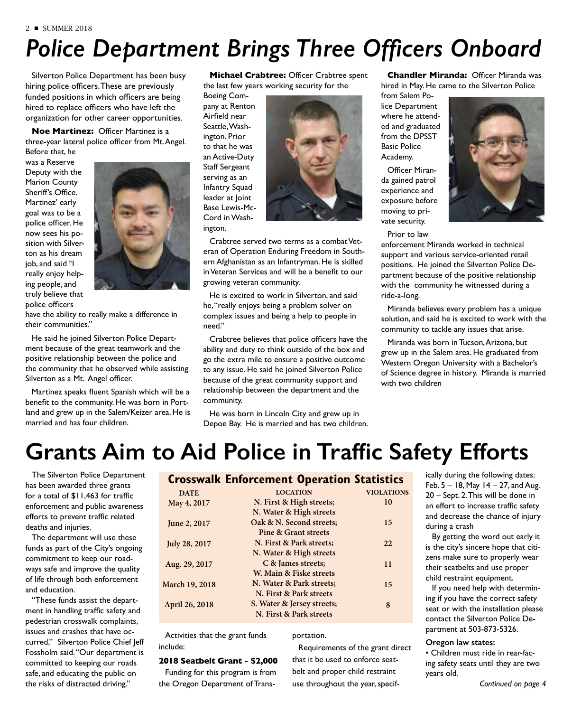# *Police Department Brings Three Officers Onboard*

Silverton Police Department has been busy hiring police officers. These are previously funded positions in which officers are being hired to replace officers who have left the organization for other career opportunities.

**Noe Martinez:** Officer Martinez is a three-year lateral police officer from Mt. Angel.

Before that, he was a Reserve Deputy with the Marion County Sheriff's Office. Martinez' early goal was to be a police officer. He now sees his position with Silverton as his dream job, and said "I really enjoy helping people, and truly believe that police officers



have the ability to really make a difference in their communities."

He said he joined Silverton Police Department because of the great teamwork and the positive relationship between the police and the community that he observed while assisting Silverton as a Mt. Angel officer.

Martinez speaks fluent Spanish which will be a benefit to the community. He was born in Portland and grew up in the Salem/Keizer area. He is married and has four children.

**Michael Crabtree:** Officer Crabtree spent the last few years working security for the

Boeing Company at Renton Airfield near Seattle, Washington. Prior to that he was an Active-Duty Staff Sergeant serving as an Infantry Squad leader at Joint Base Lewis-Mc-Cord in Washington.



Crabtree served two terms as a combat Veteran of Operation Enduring Freedom in Southern Afghanistan as an Infantryman. He is skilled in Veteran Services and will be a benefit to our growing veteran community.

He is excited to work in Silverton, and said he, "really enjoys being a problem solver on complex issues and being a help to people in need."

Crabtree believes that police officers have the ability and duty to think outside of the box and go the extra mile to ensure a positive outcome to any issue. He said he joined Silverton Police because of the great community support and relationship between the department and the community.

He was born in Lincoln City and grew up in Depoe Bay. He is married and has two children.

**Chandler Miranda:** Officer Miranda was hired in May. He came to the Silverton Police

from Salem Police Department where he attended and graduated from the DPSST Basic Police Academy.

Officer Miranda gained patrol experience and exposure before moving to private security.

Prior to law



enforcement Miranda worked in technical support and various service-oriented retail positions. He joined the Silverton Police Department because of the positive relationship with the community he witnessed during a ride-a-long.

Miranda believes every problem has a unique solution, and said he is excited to work with the community to tackle any issues that arise.

Miranda was born in Tucson, Arizona, but grew up in the Salem area. He graduated from Western Oregon University with a Bachelor's of Science degree in history. Miranda is married with two children

## **Grants Aim to Aid Police in Traffic Safety Efforts**

The Silverton Police Department has been awarded three grants for a total of \$11,463 for traffic enforcement and public awareness efforts to prevent traffic related deaths and injuries.

The department will use these funds as part of the City's ongoing commitment to keep our roadways safe and improve the quality of life through both enforcement and education.

"These funds assist the department in handling traffic safety and pedestrian crosswalk complaints, issues and crashes that have occurred," Silverton Police Chief Jeff Fossholm said. "Our department is committed to keeping our roads safe, and educating the public on the risks of distracted driving."

#### **Crosswalk Enforcement Operation Statistics**

| <b>DATE</b>    | <b>LOCATION</b>                 | <b>VIOLATIONS</b> |
|----------------|---------------------------------|-------------------|
| May 4, 2017    | N. First & High streets;        | 10                |
|                | N. Water & High streets         |                   |
| June 2, 2017   | Oak & N. Second streets;        | 15                |
|                | <b>Pine &amp; Grant streets</b> |                   |
| July 28, 2017  | N. First & Park streets;        | 22                |
|                | N. Water & High streets         |                   |
| Aug. 29, 2017  | C & James streets;              | 11                |
|                | W. Main & Fiske streets         |                   |
| March 19, 2018 | N. Water & Park streets;        | 15                |
|                | N. First & Park streets         |                   |
| April 26, 2018 | S. Water & Jersey streets;      | 8                 |
|                | N. First & Park streets         |                   |
|                |                                 |                   |

Activities that the grant funds include:

#### **2018 Seatbelt Grant - \$2,000**

Funding for this program is from the Oregon Department of Transportation.

Requirements of the grant direct that it be used to enforce seatbelt and proper child restraint use throughout the year, specifically during the following dates: Feb.  $5 - 18$ , May  $14 - 27$ , and Aug. 20 – Sept. 2. This will be done in an effort to increase traffic safety and decrease the chance of injury during a crash

By getting the word out early it is the city's sincere hope that citizens make sure to properly wear their seatbelts and use proper child restraint equipment.

If you need help with determining if you have the correct safety seat or with the installation please contact the Silverton Police Department at 503-873-5326.

#### **Oregon law states:**

• Children must ride in rear-facing safety seats until they are two years old.

<sup>2</sup> ■ SUMMER 2018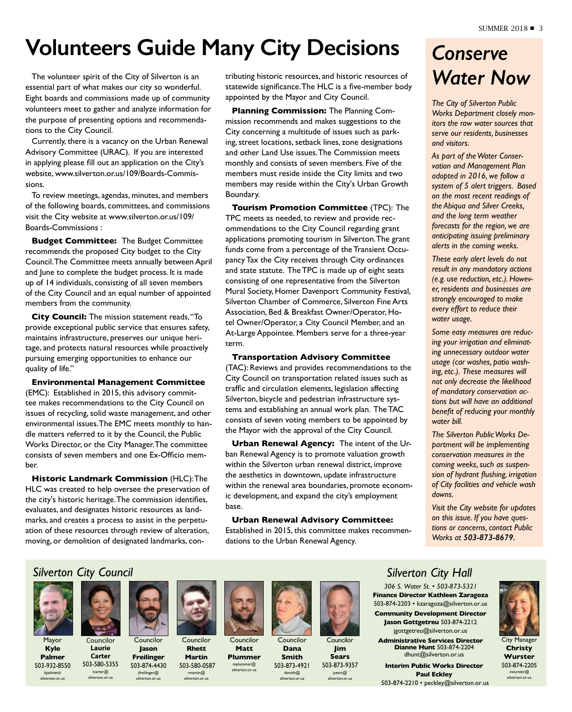## **Volunteers Guide Many City Decisions**

The volunteer spirit of the City of Silverton is an essential part of what makes our city so wonderful. Eight boards and commissions made up of community volunteers meet to gather and analyze information for the purpose of presenting options and recommendations to the City Council.

Currently, there is a vacancy on the Urban Renewal Advisory Committee (URAC). If you are interested in applying please fill out an application on the City's website, www.silverton.or.us/109/Boards-Commissions.

To review meetings, agendas, minutes, and members of the following boards, committees, and commissions visit the City website at www.silverton.or.us/109/ Boards-Commissions :

**Budget Committee:** The Budget Committee recommends the proposed City budget to the City Council. The Committee meets annually between April and June to complete the budget process. It is made up of 14 individuals, consisting of all seven members of the City Council and an equal number of appointed members from the community.

**City Council:** The mission statement reads, "To provide exceptional public service that ensures safety, maintains infrastructure, preserves our unique heritage, and protects natural resources while proactively pursuing emerging opportunities to enhance our quality of life."

#### **Environmental Management Committee**

(EMC): Established in 2015, this advisory committee makes recommendations to the City Council on issues of recycling, solid waste management, and other environmental issues. The EMC meets monthly to handle matters referred to it by the Council, the Public Works Director, or the City Manager. The committee consists of seven members and one Ex-Officio member.

**Historic Landmark Commission** (HLC): The HLC was created to help oversee the preservation of the city's historic heritage. The commission identifies, evaluates, and designates historic resources as landmarks, and creates a process to assist in the perpetuation of these resources through review of alteration, moving, or demolition of designated landmarks, contributing historic resources, and historic resources of statewide significance. The HLC is a five-member body appointed by the Mayor and City Council.

**Planning Commission:** The Planning Commission recommends and makes suggestions to the City concerning a multitude of issues such as parking, street locations, setback lines, zone designations and other Land Use issues. The Commission meets monthly and consists of seven members. Five of the members must reside inside the City limits and two members may reside within the City's Urban Growth Boundary.

**Tourism Promotion Committee** (TPC): The TPC meets as needed, to review and provide recommendations to the City Council regarding grant applications promoting tourism in Silverton. The grant funds come from a percentage of the Transient Occupancy Tax the City receives through City ordinances and state statute. The TPC is made up of eight seats consisting of one representative from the Silverton Mural Society, Homer Davenport Community Festival, Silverton Chamber of Commerce, Silverton Fine Arts Association, Bed & Breakfast Owner/Operator, Hotel Owner/Operator, a City Council Member, and an At-Large Appointee. Members serve for a three-year term.

#### **Transportation Advisory Committee**

(TAC): Reviews and provides recommendations to the City Council on transportation related issues such as traffic and circulation elements, legislation affecting Silverton, bicycle and pedestrian infrastructure systems and establishing an annual work plan. The TAC consists of seven voting members to be appointed by the Mayor with the approval of the City Council.

**Urban Renewal Agency:** The intent of the Urban Renewal Agency is to promote valuation growth within the Silverton urban renewal district, improve the aesthetics in downtown, update infrastructure within the renewal area boundaries, promote economic development, and expand the city's employment base.

#### **Urban Renewal Advisory Committee:**

Established in 2015, this committee makes recommendations to the Urban Renewal Agency.

## *Conserve Water Now*

*The City of Silverton Public Works Department closely monitors the raw water sources that serve our residents, businesses and visitors.*

*As part of the Water Conservation and Management Plan adopted in 2016, we follow a system of 5 alert triggers. Based on the most recent readings of the Abiqua and Silver Creeks, and the long term weather forecasts for the region, we are anticipating issuing preliminary alerts in the coming weeks.* 

*These early alert levels do not result in any mandatory actions (e.g. use reduction, etc.). However, residents and businesses are strongly encouraged to make every effort to reduce their water usage.* 

*Some easy measures are reducing your irrigation and eliminating unnecessary outdoor water usage (car washes, patio washing, etc.). These measures will not only decrease the likelihood of mandatory conservation actions but will have an additional benefit of reducing your monthly water bill.*

*The Silverton Public Works Department will be implementing conservation measures in the coming weeks, such as suspension of hydrant flushing, irrigation of City facilities and vehicle wash downs.*

*Visit the City website for updates on this issue. If you have questions or concerns, contact Public Works at 503-873-8679.*

### *Silverton City Council*



Mayor **Kyle Palmer**

503-932-8550 kpalmer@ silverton.or.us

Councilor **Laurie Carter** Councilor

503-580-5355 lcarter@ silverton.or.us



**Jason Freilinger** 503-874-4430 jfreilinger@ silverton.or.us **Martin** 503-580-0587 rmartin@ silverton.or.us

**Rhett**



Councilor **Matt Plummer** 

mplummer@ silverton.or.us



**Councilor Dana Smith**



503-873-4921



dsmith@ silverton.or.us



**Sears** 503-873-9357 jsears@ silverton.or.us

### *Silverton City Hall*

*306 S. Water St. • 503-873-5321* **Finance Director Kathleen Zaragoza** 503-874-2203 • kzaragoza@silverton.or.us **Community Development Director Jason Gottgetreu** 503-874-2212 jgottgetreu@silverton.or.us

**Administrative Services Director Dianne Hunt** 503-874-2204 dhunt@silverton.or.us

**Interim Public Works Director Paul Eckley** 503-874-2210 • peckley@silverton.or.us



**Christy Wurster** 503-874-2205 cwurster@ silverton.or.us